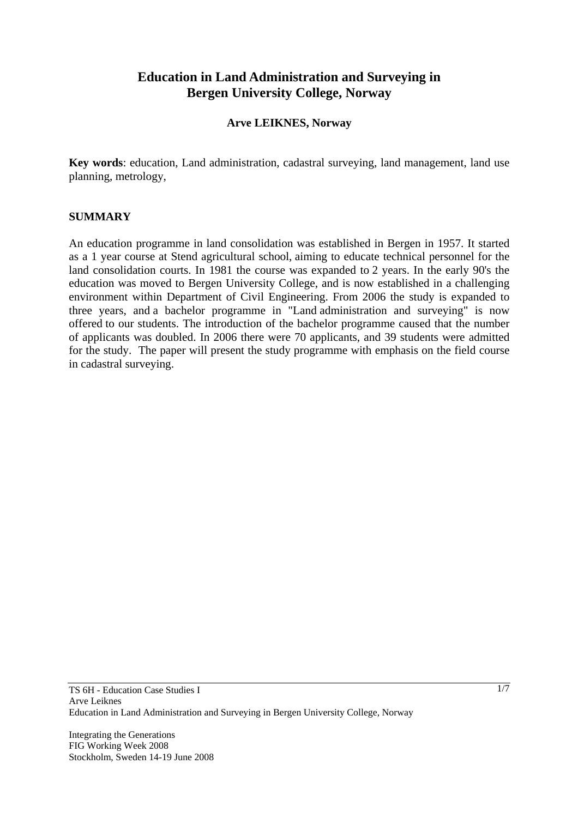# **Education in Land Administration and Surveying in Bergen University College, Norway**

## **Arve LEIKNES, Norway**

**Key words**: education, Land administration, cadastral surveying, land management, land use planning, metrology,

### **SUMMARY**

An education programme in land consolidation was established in Bergen in 1957. It started as a 1 year course at Stend agricultural school, aiming to educate technical personnel for the land consolidation courts. In 1981 the course was expanded to 2 years. In the early 90's the education was moved to Bergen University College, and is now established in a challenging environment within Department of Civil Engineering. From 2006 the study is expanded to three years, and a bachelor programme in "Land administration and surveying" is now offered to our students. The introduction of the bachelor programme caused that the number of applicants was doubled. In 2006 there were 70 applicants, and 39 students were admitted for the study. The paper will present the study programme with emphasis on the field course in cadastral surveying.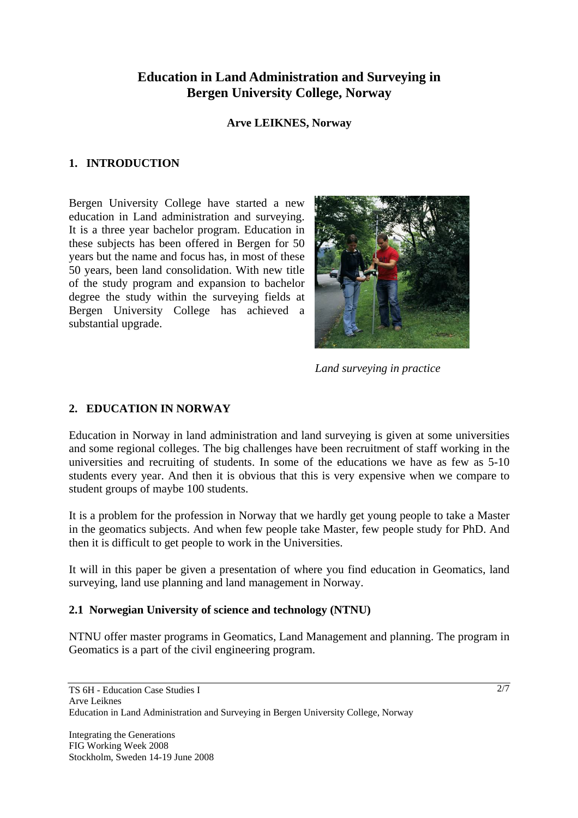# **Education in Land Administration and Surveying in Bergen University College, Norway**

## **Arve LEIKNES, Norway**

# **1. INTRODUCTION**

Bergen University College have started a new education in Land administration and surveying. It is a three year bachelor program. Education in these subjects has been offered in Bergen for 50 years but the name and focus has, in most of these 50 years, been land consolidation. With new title of the study program and expansion to bachelor degree the study within the surveying fields at Bergen University College has achieved a substantial upgrade.



*Land surveying in practice* 

# **2. EDUCATION IN NORWAY**

Education in Norway in land administration and land surveying is given at some universities and some regional colleges. The big challenges have been recruitment of staff working in the universities and recruiting of students. In some of the educations we have as few as 5-10 students every year. And then it is obvious that this is very expensive when we compare to student groups of maybe 100 students.

It is a problem for the profession in Norway that we hardly get young people to take a Master in the geomatics subjects. And when few people take Master, few people study for PhD. And then it is difficult to get people to work in the Universities.

It will in this paper be given a presentation of where you find education in Geomatics, land surveying, land use planning and land management in Norway.

# **2.1 Norwegian University of science and technology (NTNU)**

NTNU offer master programs in Geomatics, Land Management and planning. The program in Geomatics is a part of the civil engineering program.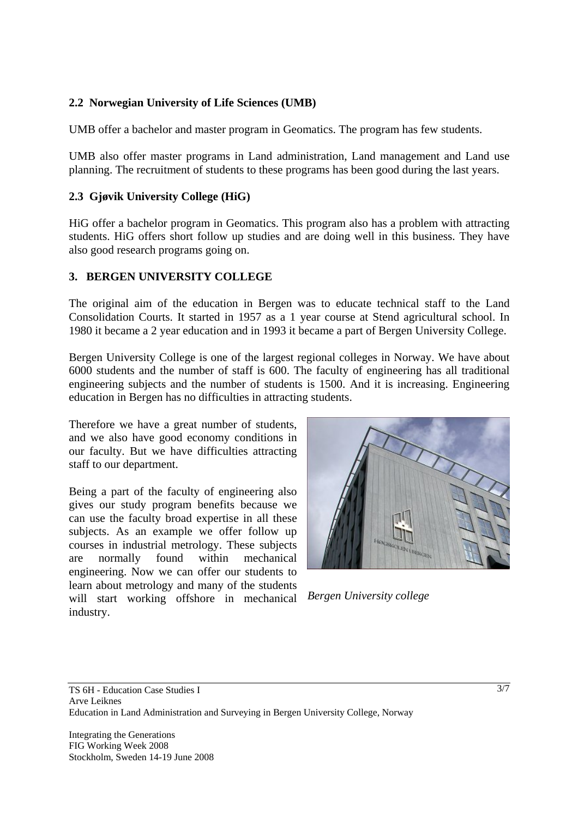# **2.2 Norwegian University of Life Sciences (UMB)**

UMB offer a bachelor and master program in Geomatics. The program has few students.

UMB also offer master programs in Land administration, Land management and Land use planning. The recruitment of students to these programs has been good during the last years.

# **2.3 Gjøvik University College (HiG)**

HiG offer a bachelor program in Geomatics. This program also has a problem with attracting students. HiG offers short follow up studies and are doing well in this business. They have also good research programs going on.

### **3. BERGEN UNIVERSITY COLLEGE**

The original aim of the education in Bergen was to educate technical staff to the Land Consolidation Courts. It started in 1957 as a 1 year course at Stend agricultural school. In 1980 it became a 2 year education and in 1993 it became a part of Bergen University College.

Bergen University College is one of the largest regional colleges in Norway. We have about 6000 students and the number of staff is 600. The faculty of engineering has all traditional engineering subjects and the number of students is 1500. And it is increasing. Engineering education in Bergen has no difficulties in attracting students.

Therefore we have a great number of students, and we also have good economy conditions in our faculty. But we have difficulties attracting staff to our department.

Being a part of the faculty of engineering also gives our study program benefits because we can use the faculty broad expertise in all these subjects. As an example we offer follow up courses in industrial metrology. These subjects are normally found within mechanical engineering. Now we can offer our students to learn about metrology and many of the students will start working offshore in mechanical industry.



*Bergen University college*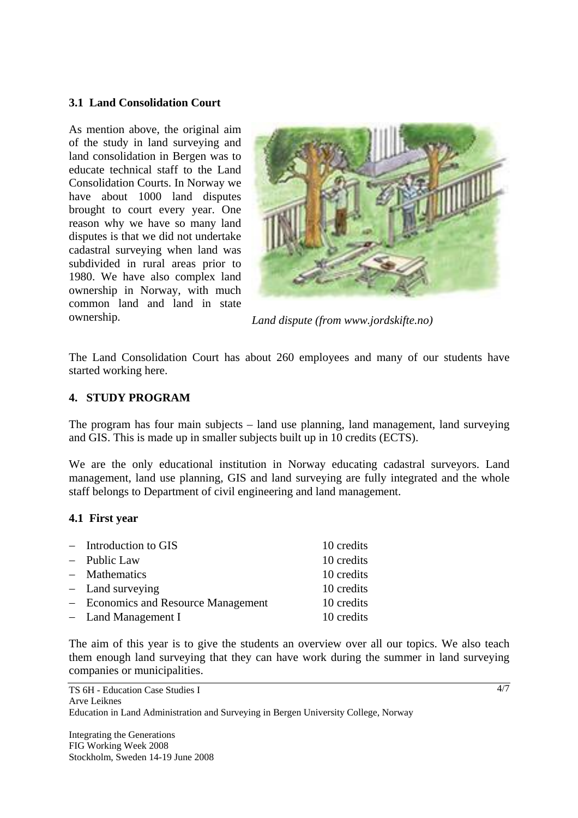## **3.1 Land Consolidation Court**

As mention above, the original aim of the study in land surveying and land consolidation in Bergen was to educate technical staff to the Land Consolidation Courts. In Norway we have about 1000 land disputes brought to court every year. One reason why we have so many land disputes is that we did not undertake cadastral surveying when land was subdivided in rural areas prior to 1980. We have also complex land ownership in Norway, with much common land and land in state ownership. *Land dispute (from www.jordskifte.no)* 



The Land Consolidation Court has about 260 employees and many of our students have started working here.

### **4. STUDY PROGRAM**

The program has four main subjects – land use planning, land management, land surveying and GIS. This is made up in smaller subjects built up in 10 credits (ECTS).

We are the only educational institution in Norway educating cadastral surveyors. Land management, land use planning, GIS and land surveying are fully integrated and the whole staff belongs to Department of civil engineering and land management.

### **4.1 First year**

| $-$ Introduction to GIS             | 10 credits |
|-------------------------------------|------------|
| - Public Law                        | 10 credits |
| - Mathematics                       | 10 credits |
| $-$ Land surveying                  | 10 credits |
| - Economics and Resource Management | 10 credits |
| $-$ Land Management I               | 10 credits |

The aim of this year is to give the students an overview over all our topics. We also teach them enough land surveying that they can have work during the summer in land surveying companies or municipalities.

4/7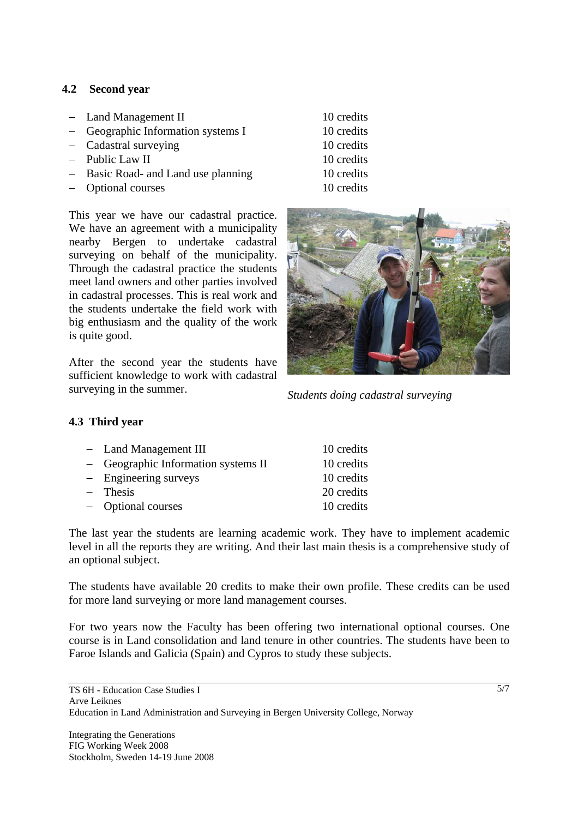# **4.2 Second year**

- − Land Management II 10 credits
- − Geographic Information systems I 10 credits
- − Cadastral surveying 10 credits
- − Public Law II 10 credits
- − Basic Road- and Land use planning 10 credits
- − Optional courses 10 credits

- 
- 
- 

This year we have our cadastral practice. We have an agreement with a municipality nearby Bergen to undertake cadastral surveying on behalf of the municipality. Through the cadastral practice the students meet land owners and other parties involved in cadastral processes. This is real work and the students undertake the field work with big enthusiasm and the quality of the work is quite good.

After the second year the students have sufficient knowledge to work with cadastral surveying in the summer. *Students doing cadastral surveying* 



# **4.3 Third year**

| - Land Management III               | 10 credits |
|-------------------------------------|------------|
| - Geographic Information systems II | 10 credits |
| $-$ Engineering surveys             | 10 credits |
| $-$ Thesis                          | 20 credits |
| - Optional courses                  | 10 credits |

The last year the students are learning academic work. They have to implement academic level in all the reports they are writing. And their last main thesis is a comprehensive study of an optional subject.

The students have available 20 credits to make their own profile. These credits can be used for more land surveying or more land management courses.

For two years now the Faculty has been offering two international optional courses. One course is in Land consolidation and land tenure in other countries. The students have been to Faroe Islands and Galicia (Spain) and Cypros to study these subjects.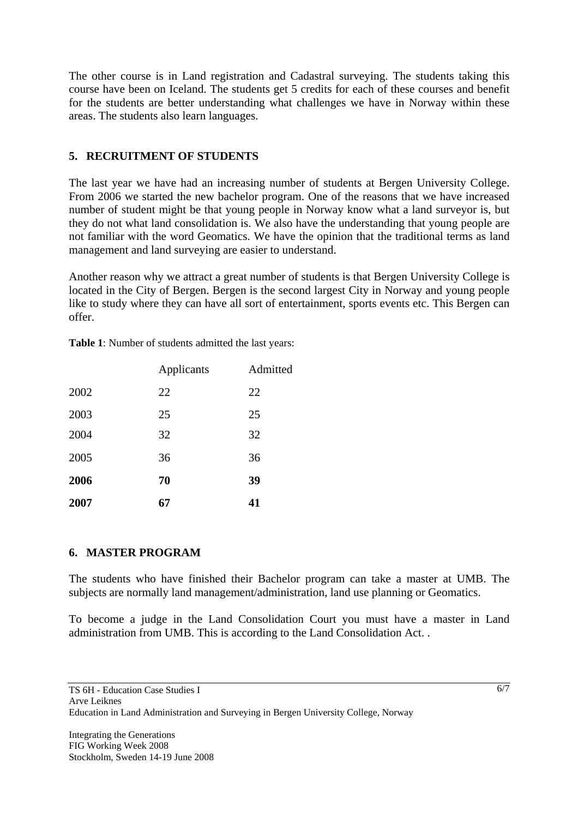The other course is in Land registration and Cadastral surveying. The students taking this course have been on Iceland. The students get 5 credits for each of these courses and benefit for the students are better understanding what challenges we have in Norway within these areas. The students also learn languages.

# **5. RECRUITMENT OF STUDENTS**

The last year we have had an increasing number of students at Bergen University College. From 2006 we started the new bachelor program. One of the reasons that we have increased number of student might be that young people in Norway know what a land surveyor is, but they do not what land consolidation is. We also have the understanding that young people are not familiar with the word Geomatics. We have the opinion that the traditional terms as land management and land surveying are easier to understand.

Another reason why we attract a great number of students is that Bergen University College is located in the City of Bergen. Bergen is the second largest City in Norway and young people like to study where they can have all sort of entertainment, sports events etc. This Bergen can offer.

|      | Applicants | Admitted |
|------|------------|----------|
| 2002 | 22         | 22       |
| 2003 | 25         | 25       |
| 2004 | 32         | 32       |
| 2005 | 36         | 36       |
| 2006 | 70         | 39       |
| 2007 | 67         | 41       |

**Table 1**: Number of students admitted the last years:

# **6. MASTER PROGRAM**

The students who have finished their Bachelor program can take a master at UMB. The subjects are normally land management/administration, land use planning or Geomatics.

To become a judge in the Land Consolidation Court you must have a master in Land administration from UMB. This is according to the Land Consolidation Act. .